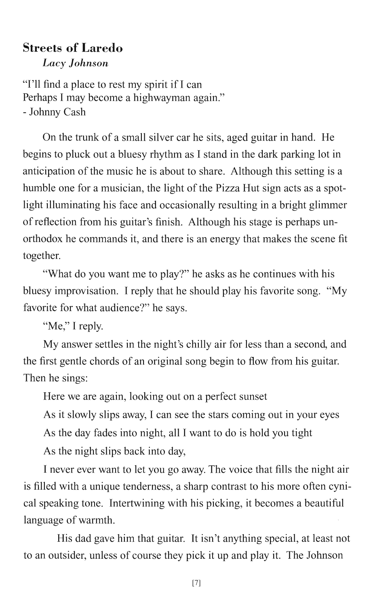## **Streets of Laredo**  *Lacy Johnson*

"I'll find a place to rest my spirit if I can Perhaps I may become a highwayman again." - Johnny Cash

On the trunk of a small silver car he sits, aged guitar in hand. He begins to pluck out a bluesy rhythm as I stand in the dark parking lot in anticipation of the music he is about to share. Although this setting is a humble one for a musician, the light of the Pizza Hut sign acts as a spotlight illuminating his face and occasionally resulting in a bright glimmer of reflection from his guitar's finish. Although his stage is perhaps unorthodox he commands it, and there is an energy that makes the scene fit together.

"What do you want me to play?" he asks as he continues with his bluesy improvisation. I reply that he should play his favorite song. "My favorite for what audience?" he says.

"Me," I reply.

My answer settles in the night's chilly air for less than a second, and the first gentle chords of an original song begin to flow from his guitar. Then he sings:

Here we are again, looking out on a perfect sunset

As it slowly slips away, I can see the stars coming out in your eyes

As the day fades into night, all I want to do is hold you tight

As the night slips back into day,

I never ever want to let you go away. The voice that fills the night air is filled with a unique tenderness, a sharp contrast to his more often cynical speaking tone. Intertwining with his picking, it becomes a beautiful language of warmth.

His dad gave him that guitar. It isn't anything special, at least not to an outsider, unless of course they pick it up and play it. The Johnson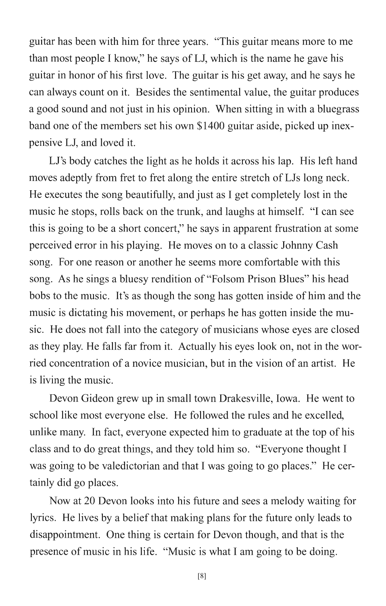guitar has been with him for three years. "This guitar means more to me than most people I know," he says of LJ, which is the name he gave his guitar in honor of his first love. The guitar is his get away, and he says he can always count on it. Besides the sentimental value, the guitar produces a good sound and not just in his opinion. When sitting in with a bluegrass band one of the members set his own \$1400 guitar aside, picked up inexpensive LJ, and loved it.

LJ's body catches the light as he holds it across his lap. His left hand moves adeptly from fret to fret along the entire stretch of LJs long neck. He executes the song beautifully, and just as I get completely lost in the music he stops, rolls back on the trunk, and laughs at himself. "I can see this is going to be a short concert," he says in apparent frustration at some perceived error in his playing. He moves on to a classic Johnny Cash song. For one reason or another he seems more comfortable with this song. As he sings a bluesy rendition of "Folsom Prison Blues" his head bobs to the music. It's as though the song has gotten inside of him and the music is dictating his movement, or perhaps he has gotten inside the music. He does not fall into the category of musicians whose eyes are closed as they play. He falls far from it. Actually his eyes look on, not in the worried concentration of a novice musician, but in the vision of an artist. He is living the music.

Devon Gideon grew up in small town Drakesville, Iowa. He went to school like most everyone else. He followed the rules and he excelled, unlike many. In fact, everyone expected him to graduate at the top of his class and to do great things, and they told him so. "Everyone thought I was going to be valedictorian and that I was going to go places." He certainly did go places.

Now at 20 Devon looks into his future and sees a melody waiting for lyrics. He lives by a belief that making plans for the future only leads to disappointment. One thing is certain for Devon though, and that is the presence of music in his life. "Music is what I am going to be doing.

[8]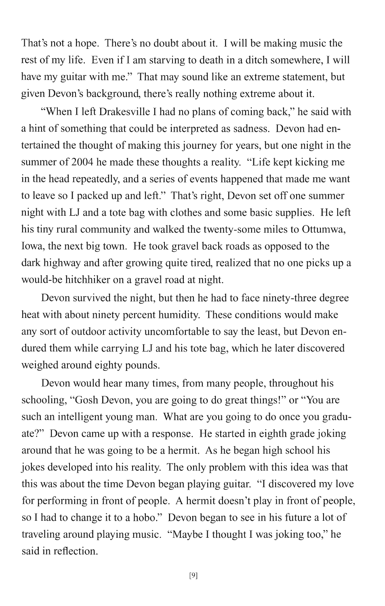That's not a hope. There's no doubt about it. I will be making music the rest of my life. Even if I am starving to death in a ditch somewhere, I will have my guitar with me." That may sound like an extreme statement, but given Devon's background, there's really nothing extreme about it.

"When I left Drakesville I had no plans of coming back," he said with a hint of something that could be interpreted as sadness. Devon had entertained the thought of making this journey for years, but one night in the summer of 2004 he made these thoughts a reality. "Life kept kicking me in the head repeatedly, and a series of events happened that made me want to leave so I packed up and left." That's right, Devon set off one summer night with **LJ** and a tote bag with clothes and some basic supplies. He left his tiny rural community and walked the twenty-some miles to Ottumwa, Iowa, the next big town. He took gravel back roads as opposed to the dark highway and after growing quite tired, realized that no one picks up a would-be hitchhiker on a gravel road at night.

Devon survived the night, but then he had to face ninety-three degree heat with about ninety percent humidity. These conditions would make any sort of outdoor activity uncomfortable to say the least, but Devon endured them while carrying **LJ** and his tote bag, which he later discovered weighed around eighty pounds.

Devon would hear many times, from many people, throughout his schooling, "Gosh Devon, you are going to do great things!" or "You are such an intelligent young man. What are you going to do once you graduate?" Devon came up with a response. He started in eighth grade joking around that he was going to be a hermit. As he began high school his jokes developed into his reality. The only problem with this idea was that this was about the time Devon began playing guitar. "I discovered my love for performing in front of people. A hermit doesn't play in front of people, so I had to change it to a hobo." Devon began to see in his future a lot of traveling around playing music. "Maybe I thought I was joking too," he said in reflection.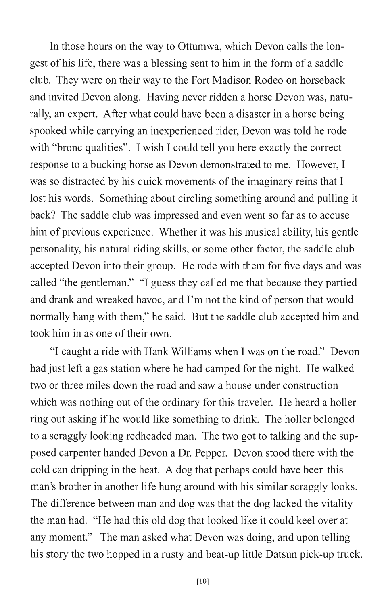**In** those hours on the way to Ottumwa, which Devon calls the longest of his life, there was a blessing sent to him in the form of a saddle club. They were on their way to the Fort Madison Rodeo on horseback and invited Devon along. Having never ridden a horse Devon was, naturally, an expert. After what could have been a disaster in a horse being spooked while carrying an inexperienced rider, Devon was told he rode with "bronc qualities". I wish I could tell you here exactly the correct response to a bucking horse as Devon demonstrated to me. However, I was so distracted by his quick movements of the imaginary reins that I lost his words. Something about circling something around and pulling it back? The saddle club was impressed and even went so far as to accuse him of previous experience. Whether it was his musical ability, his gentle personality, his natural riding skills, or some other factor, the saddle club accepted Devon into their group. He rode with them for five days and was called "the gentleman." "I guess they called me that because they partied and drank and wreaked havoc, and I'm not the kind of person that would normally hang with them," he said. But the saddle club accepted him and took him in as one of their own.

"I caught a ride with Hank Williams when I was on the road." Devon had just left a gas station where he had camped for the night. He walked two or three miles down the road and saw a house under construction which was nothing out of the ordinary for this traveler. He heard a holler ring out asking if he would like something to drink. The holler belonged to a scraggly looking redheaded man. The two got to talking and the supposed carpenter handed Devon a Dr. Pepper. Devon stood there with the cold can dripping in the heat. A dog that perhaps could have been this man's brother in another life hung around with his similar scraggly looks. The difference between man and dog was that the dog lacked the vitality the man had. "He had this old dog that looked like it could keel over at any moment." The man asked what Devon was doing, and upon telling his story the two hopped in a rusty and beat-up little Datsun pick-up truck.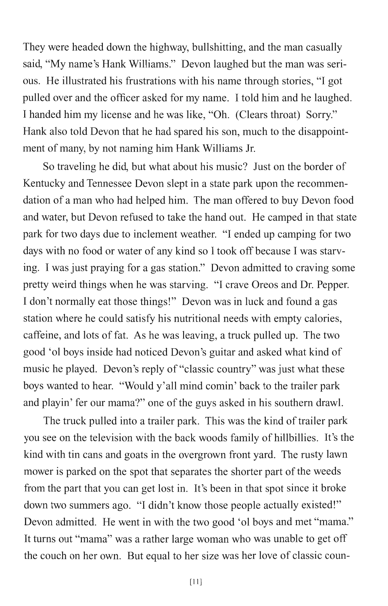They were headed down the highway, bullshitting, and the man casually said, "My name's Hank Williams." Devon laughed but the man was serious. He illustrated his frustrations with his name through stories, "I got pulled over and the officer asked for my name. I told him and he laughed. I handed him my license and he was like, "Oh. (Clears throat) Sorry." Hank also told Devon that he had spared his son, much to the disappointment of many, by not naming him Hank Williams Jr.

So traveling he did, but what about his music? Just on the border of Kentucky and Tennessee Devon slept in a state park upon the recommendation of a man who had helped him. The man offered to buy Devon food and water, but Devon refused to take the hand out. He camped in that state park for two days due to inclement weather. "I ended up camping for two days with no food or water of any kind so I took off because I was starving. I was just praying for a gas station." Devon admitted to craving some pretty weird things when he was starving. "I crave Oreos and Dr. Pepper. I don't normally eat those things!" Devon was in luck and found a gas station where he could satisfy his nutritional needs with empty calories, caffeine, and lots of fat. As he was leaving, a truck pulled up. The two good '01 boys inside had noticed Devon's guitar and asked what kind of music he played. Devon's reply of "classic country" was just what these boys wanted to hear. "Would y'all mind comin' back to the trailer park and playin' fer our mama?" one of the guys asked in his southern drawl.

The truck pulled into a trailer park. This was the kind of trailer park you see on the television with the back woods family of hillbillies. It's the kind with tin cans and goats in the overgrown front yard. The rusty lawn mower is parked on the spot that separates the shorter part of the weeds from the part that you can get lost in. It's been in that spot since it broke down two summers ago. "I didn't know those people actually existed!" Devon admitted. He went in with the two good 'ol boys and met "mama." It turns out "mama" was a rather large woman who was unable to get off the couch on her own. But equal to her size was her love of classic coun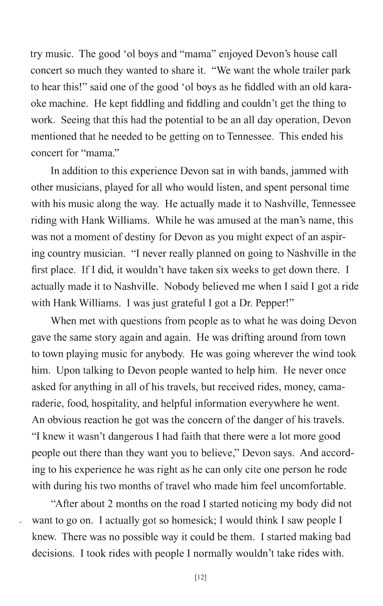try music. The good '01 boys and "mama" enjoyed Devon's house call concert so much they wanted to share it. "We want the whole trailer park to hear this!" said one of the good '01 boys as he fiddled with an old karaoke machine. He kept fiddling and fiddling and couldn't get the thing to work. Seeing that this had the potential to be an all day operation, Devon mentioned that he needed to be getting on to Tennessee. This ended his concert for "mama."

In addition to this experience Devon sat in with bands, jammed with other musicians, played for all who would listen, and spent personal time with his music along the way. He actually made it to Nashville, Tennessee riding with Hank Williams. While he was amused at the man's name, this was not a moment of destiny for Devon as you might expect of an aspiring country musician. "I never really planned on going to Nashville in the first place. If I did, it wouldn't have taken six weeks to get down there. I actually made it to Nashville. Nobody believed me when I said I got a ride with Hank Williams. I was just grateful I got a Dr. Pepper!"

When met with questions from people as to what he was doing Devon gave the same story again and again. He was drifting around from town to town playing music for anybody. He was going wherever the wind took him. Upon talking to Devon people wanted to help him. He never once asked for anything in all of his travels, but received rides, money, camaraderie, food, hospitality, and helpful information everywhere he went. An obvious reaction he got was the concern of the danger of his travels. "I knew it wasn't dangerous I had faith that there were a lot more good people out there than they want you to believe," Devon says. And according to his experience he was right as he can only cite one person he rode with during his two months of travel who made him feel uncomfortable.

"After about 2 months on the road I started noticing my body did not want to go on. I actually got so homesick; I would think I saw people I knew. There was no possible way it could be them. I started making bad decisions. I took rides with people I normally wouldn't take rides with.